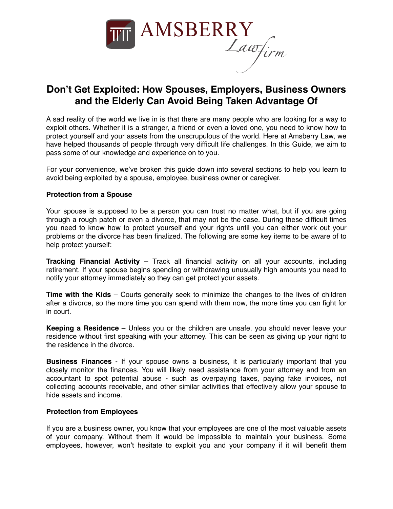

# **Don't Get Exploited: How Spouses, Employers, Business Owners and the Elderly Can Avoid Being Taken Advantage Of**

A sad reality of the world we live in is that there are many people who are looking for a way to exploit others. Whether it is a stranger, a friend or even a loved one, you need to know how to protect yourself and your assets from the unscrupulous of the world. Here at Amsberry Law, we have helped thousands of people through very difficult life challenges. In this Guide, we aim to pass some of our knowledge and experience on to you.

For your convenience, we've broken this guide down into several sections to help you learn to avoid being exploited by a spouse, employee, business owner or caregiver.

## **Protection from a Spouse**

Your spouse is supposed to be a person you can trust no matter what, but if you are going through a rough patch or even a divorce, that may not be the case. During these difficult times you need to know how to protect yourself and your rights until you can either work out your problems or the divorce has been finalized. The following are some key items to be aware of to help protect yourself:

**Tracking Financial Activity** – Track all financial activity on all your accounts, including retirement. If your spouse begins spending or withdrawing unusually high amounts you need to notify your attorney immediately so they can get protect your assets.

**Time with the Kids** – Courts generally seek to minimize the changes to the lives of children after a divorce, so the more time you can spend with them now, the more time you can fight for in court.

**Keeping a Residence** – Unless you or the children are unsafe, you should never leave your residence without first speaking with your attorney. This can be seen as giving up your right to the residence in the divorce.

**Business Finances** - If your spouse owns a business, it is particularly important that you closely monitor the finances. You will likely need assistance from your attorney and from an accountant to spot potential abuse - such as overpaying taxes, paying fake invoices, not collecting accounts receivable, and other similar activities that effectively allow your spouse to hide assets and income.

### **Protection from Employees**

If you are a business owner, you know that your employees are one of the most valuable assets of your company. Without them it would be impossible to maintain your business. Some employees, however, won't hesitate to exploit you and your company if it will benefit them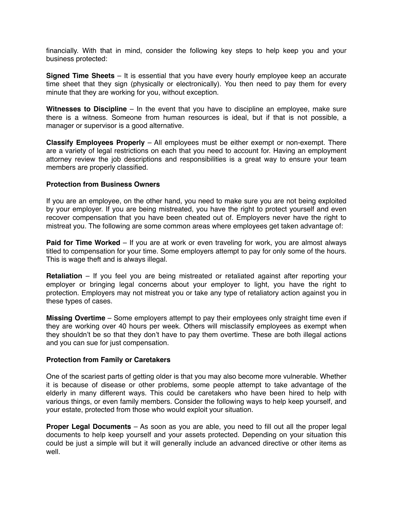financially. With that in mind, consider the following key steps to help keep you and your business protected:

**Signed Time Sheets** – It is essential that you have every hourly employee keep an accurate time sheet that they sign (physically or electronically). You then need to pay them for every minute that they are working for you, without exception.

**Witnesses to Discipline** – In the event that you have to discipline an employee, make sure there is a witness. Someone from human resources is ideal, but if that is not possible, a manager or supervisor is a good alternative.

**Classify Employees Properly** – All employees must be either exempt or non-exempt. There are a variety of legal restrictions on each that you need to account for. Having an employment attorney review the job descriptions and responsibilities is a great way to ensure your team members are properly classified.

### **Protection from Business Owners**

If you are an employee, on the other hand, you need to make sure you are not being exploited by your employer. If you are being mistreated, you have the right to protect yourself and even recover compensation that you have been cheated out of. Employers never have the right to mistreat you. The following are some common areas where employees get taken advantage of:

**Paid for Time Worked** – If you are at work or even traveling for work, you are almost always titled to compensation for your time. Some employers attempt to pay for only some of the hours. This is wage theft and is always illegal.

**Retaliation** – If you feel you are being mistreated or retaliated against after reporting your employer or bringing legal concerns about your employer to light, you have the right to protection. Employers may not mistreat you or take any type of retaliatory action against you in these types of cases.

**Missing Overtime** – Some employers attempt to pay their employees only straight time even if they are working over 40 hours per week. Others will misclassify employees as exempt when they shouldn't be so that they don't have to pay them overtime. These are both illegal actions and you can sue for just compensation.

### **Protection from Family or Caretakers**

One of the scariest parts of getting older is that you may also become more vulnerable. Whether it is because of disease or other problems, some people attempt to take advantage of the elderly in many different ways. This could be caretakers who have been hired to help with various things, or even family members. Consider the following ways to help keep yourself, and your estate, protected from those who would exploit your situation.

**Proper Legal Documents** – As soon as you are able, you need to fill out all the proper legal documents to help keep yourself and your assets protected. Depending on your situation this could be just a simple will but it will generally include an advanced directive or other items as well.